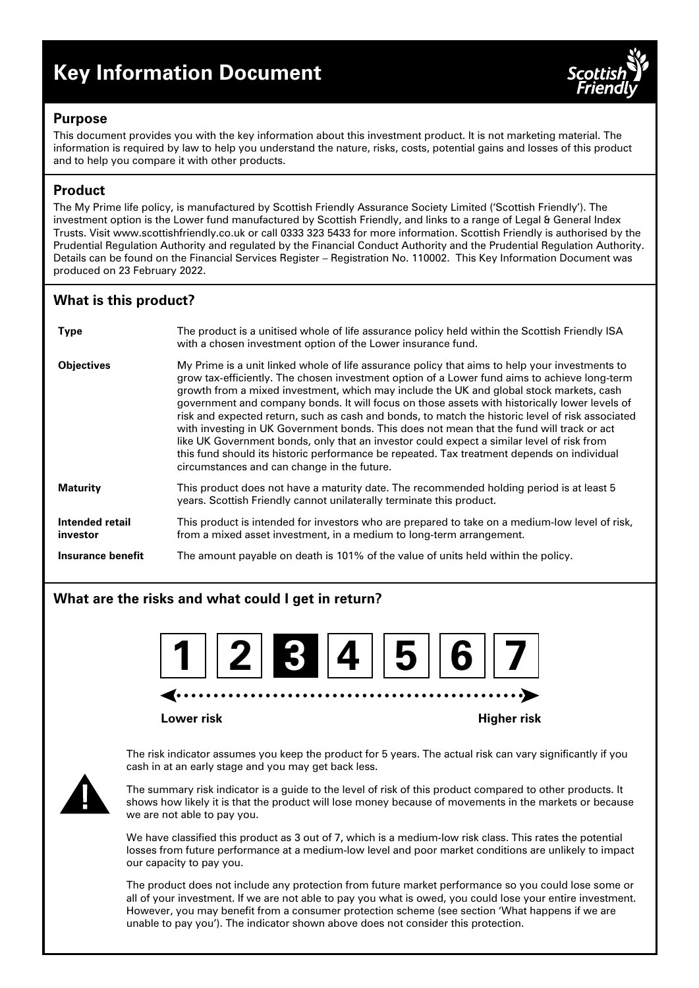# **Key Information Document**



### **Purpose**

This document provides you with the key information about this investment product. It is not marketing material. The information is required by law to help you understand the nature, risks, costs, potential gains and losses of this product and to help you compare it with other products.

# **Product**

The My Prime life policy, is manufactured by Scottish Friendly Assurance Society Limited ('Scottish Friendly'). The investment option is the Lower fund manufactured by Scottish Friendly, and links to a range of Legal & General Index Trusts. Visit www.scottishfriendly.co.uk or call 0333 323 5433 for more information. Scottish Friendly is authorised by the Prudential Regulation Authority and regulated by the Financial Conduct Authority and the Prudential Regulation Authority. Details can be found on the Financial Services Register – Registration No. 110002. This Key Information Document was produced on 23 February 2022.

# **What is this product?**

| <b>Type</b>                 | The product is a unitised whole of life assurance policy held within the Scottish Friendly ISA<br>with a chosen investment option of the Lower insurance fund.                                                                                                                                                                                                                                                                                                                                                                                                                                                                                                                                                                                                                                                                        |
|-----------------------------|---------------------------------------------------------------------------------------------------------------------------------------------------------------------------------------------------------------------------------------------------------------------------------------------------------------------------------------------------------------------------------------------------------------------------------------------------------------------------------------------------------------------------------------------------------------------------------------------------------------------------------------------------------------------------------------------------------------------------------------------------------------------------------------------------------------------------------------|
| <b>Objectives</b>           | My Prime is a unit linked whole of life assurance policy that aims to help your investments to<br>grow tax-efficiently. The chosen investment option of a Lower fund aims to achieve long-term<br>growth from a mixed investment, which may include the UK and global stock markets, cash<br>government and company bonds. It will focus on those assets with historically lower levels of<br>risk and expected return, such as cash and bonds, to match the historic level of risk associated<br>with investing in UK Government bonds. This does not mean that the fund will track or act<br>like UK Government bonds, only that an investor could expect a similar level of risk from<br>this fund should its historic performance be repeated. Tax treatment depends on individual<br>circumstances and can change in the future. |
| <b>Maturity</b>             | This product does not have a maturity date. The recommended holding period is at least 5<br>years. Scottish Friendly cannot unilaterally terminate this product.                                                                                                                                                                                                                                                                                                                                                                                                                                                                                                                                                                                                                                                                      |
| Intended retail<br>investor | This product is intended for investors who are prepared to take on a medium-low level of risk,<br>from a mixed asset investment, in a medium to long-term arrangement.                                                                                                                                                                                                                                                                                                                                                                                                                                                                                                                                                                                                                                                                |
| Insurance benefit           | The amount payable on death is 101% of the value of units held within the policy.                                                                                                                                                                                                                                                                                                                                                                                                                                                                                                                                                                                                                                                                                                                                                     |

# **What are the risks and what could I get in return?**



#### **Lower risk Higher risk**

The risk indicator assumes you keep the product for 5 years. The actual risk can vary significantly if you cash in at an early stage and you may get back less.



The summary risk indicator is a guide to the level of risk of this product compared to other products. It shows how likely it is that the product will lose money because of movements in the markets or because we are not able to pay you.

We have classified this product as 3 out of 7, which is a medium-low risk class. This rates the potential losses from future performance at a medium-low level and poor market conditions are unlikely to impact our capacity to pay you.

The product does not include any protection from future market performance so you could lose some or all of your investment. If we are not able to pay you what is owed, you could lose your entire investment. However, you may benefit from a consumer protection scheme (see section 'What happens if we are unable to pay you'). The indicator shown above does not consider this protection.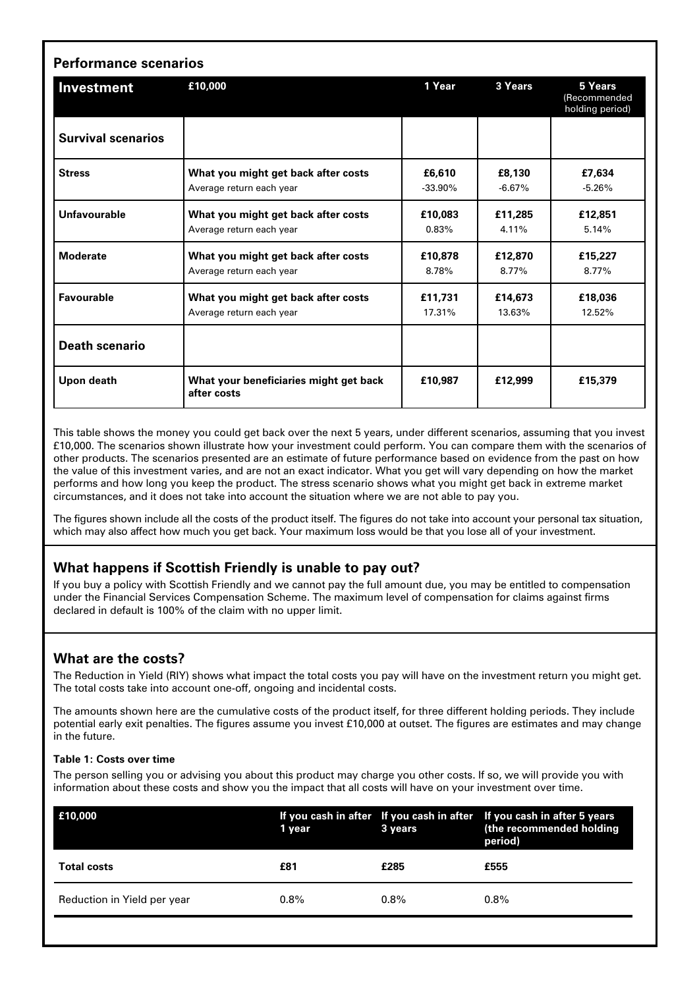| Investment                | £10,000                                               | 1 Year     | 3 Years  | 5 Years<br>(Recommended<br>holding period) |
|---------------------------|-------------------------------------------------------|------------|----------|--------------------------------------------|
| <b>Survival scenarios</b> |                                                       |            |          |                                            |
| <b>Stress</b>             | What you might get back after costs                   | £6,610     | £8,130   | £7,634                                     |
|                           | Average return each year                              | $-33.90\%$ | $-6.67%$ | $-5.26%$                                   |
| Unfavourable              | What you might get back after costs                   | £10,083    | £11,285  | £12,851                                    |
|                           | Average return each year                              | 0.83%      | 4.11%    | 5.14%                                      |
| <b>Moderate</b>           | What you might get back after costs                   | £10,878    | £12,870  | £15,227                                    |
|                           | Average return each year                              | 8.78%      | 8.77%    | 8.77%                                      |
| <b>Favourable</b>         | What you might get back after costs                   | £11,731    | £14,673  | £18,036                                    |
|                           | Average return each year                              | 17.31%     | 13.63%   | 12.52%                                     |
| <b>Death scenario</b>     |                                                       |            |          |                                            |
| Upon death                | What your beneficiaries might get back<br>after costs | £10.987    | £12,999  | £15,379                                    |

This table shows the money you could get back over the next 5 years, under different scenarios, assuming that you invest £10,000. The scenarios shown illustrate how your investment could perform. You can compare them with the scenarios of other products. The scenarios presented are an estimate of future performance based on evidence from the past on how the value of this investment varies, and are not an exact indicator. What you get will vary depending on how the market performs and how long you keep the product. The stress scenario shows what you might get back in extreme market circumstances, and it does not take into account the situation where we are not able to pay you.

The figures shown include all the costs of the product itself. The figures do not take into account your personal tax situation, which may also affect how much you get back. Your maximum loss would be that you lose all of your investment.

# **What happens if Scottish Friendly is unable to pay out?**

If you buy a policy with Scottish Friendly and we cannot pay the full amount due, you may be entitled to compensation under the Financial Services Compensation Scheme. The maximum level of compensation for claims against firms declared in default is 100% of the claim with no upper limit.

# **What are the costs?**

The Reduction in Yield (RIY) shows what impact the total costs you pay will have on the investment return you might get. The total costs take into account one-off, ongoing and incidental costs.

The amounts shown here are the cumulative costs of the product itself, for three different holding periods. They include potential early exit penalties. The figures assume you invest £10,000 at outset. The figures are estimates and may change in the future.

#### **Table 1: Costs over time**

The person selling you or advising you about this product may charge you other costs. If so, we will provide you with information about these costs and show you the impact that all costs will have on your investment over time.

| £10,000                     | 1 year  | 3 years | If you cash in after If you cash in after If you cash in after 5 years<br>(the recommended holding<br>period) |
|-----------------------------|---------|---------|---------------------------------------------------------------------------------------------------------------|
| <b>Total costs</b>          | £81     | £285    | £555                                                                                                          |
| Reduction in Yield per year | $0.8\%$ | $0.8\%$ | $0.8\%$                                                                                                       |